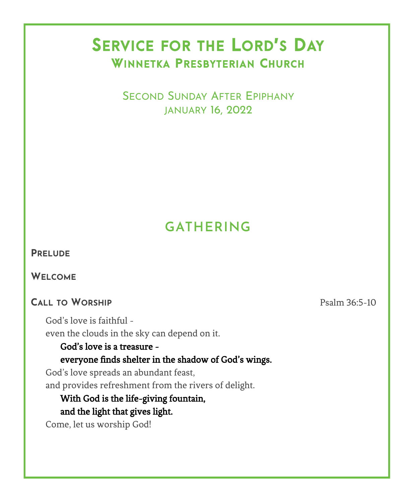# SERVICE FOR THE LORD'S DAY WINNETKA PRESBYTERIAN CHURCH

 SECOND SUNDAY AFTER EPIPHANY JANUARY 16, 2022

# **GATHERING**

### **PRELUDE**

**WELCOME**

### **CALL TO WORSHIP** Psalm 36:5-10

God's love is faithful even the clouds in the sky can depend on it.

### God's love is a treasure everyone finds shelter in the shadow of God's wings.

God's love spreads an abundant feast, and provides refreshment from the rivers of delight.

### With God is the life-giving fountain, and the light that gives light.

Come, let us worship God!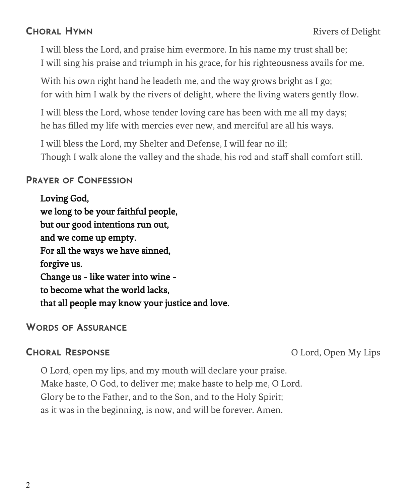I will bless the Lord, and praise him evermore. In his name my trust shall be; I will sing his praise and triumph in his grace, for his righteousness avails for me.

With his own right hand he leadeth me, and the way grows bright as I go; for with him I walk by the rivers of delight, where the living waters gently flow.

I will bless the Lord, whose tender loving care has been with me all my days; he has filled my life with mercies ever new, and merciful are all his ways.

I will bless the Lord, my Shelter and Defense, I will fear no ill; Though I walk alone the valley and the shade, his rod and staff shall comfort still.

### **PRAYER OF CONFESSION**

Loving God, we long to be your faithful people, but our good intentions run out, and we come up empty. For all the ways we have sinned, forgive us. Change us - like water into wine to become what the world lacks, that all people may know your justice and love.

### **WORDS OF ASSURANCE**

**CHORAL RESPONSE** O Lord, Open My Lips

O Lord, open my lips, and my mouth will declare your praise. Make haste, O God, to deliver me; make haste to help me, O Lord. Glory be to the Father, and to the Son, and to the Holy Spirit; as it was in the beginning, is now, and will be forever. Amen.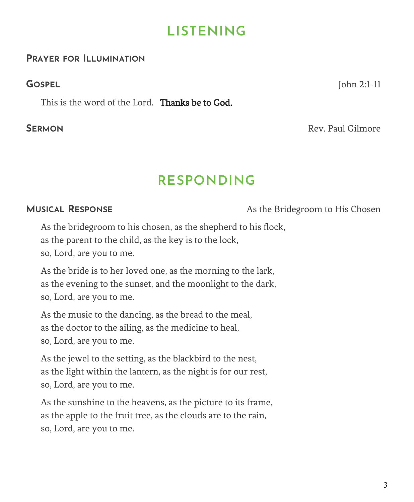## **LISTENING**

### **PRAYER FOR ILLUMINATION**

This is the word of the Lord. Thanks be to God.

**GOSPEL** John 2:1-11

**SFRMON** Rev. Paul Gilmore

## **RESPONDING**

**MUSICAL RESPONSE** As the Bridegroom to His Chosen

As the bridegroom to his chosen, as the shepherd to his flock, as the parent to the child, as the key is to the lock, so, Lord, are you to me.

As the bride is to her loved one, as the morning to the lark, as the evening to the sunset, and the moonlight to the dark, so, Lord, are you to me.

As the music to the dancing, as the bread to the meal, as the doctor to the ailing, as the medicine to heal, so, Lord, are you to me.

As the jewel to the setting, as the blackbird to the nest, as the light within the lantern, as the night is for our rest, so, Lord, are you to me.

As the sunshine to the heavens, as the picture to its frame, as the apple to the fruit tree, as the clouds are to the rain, so, Lord, are you to me.